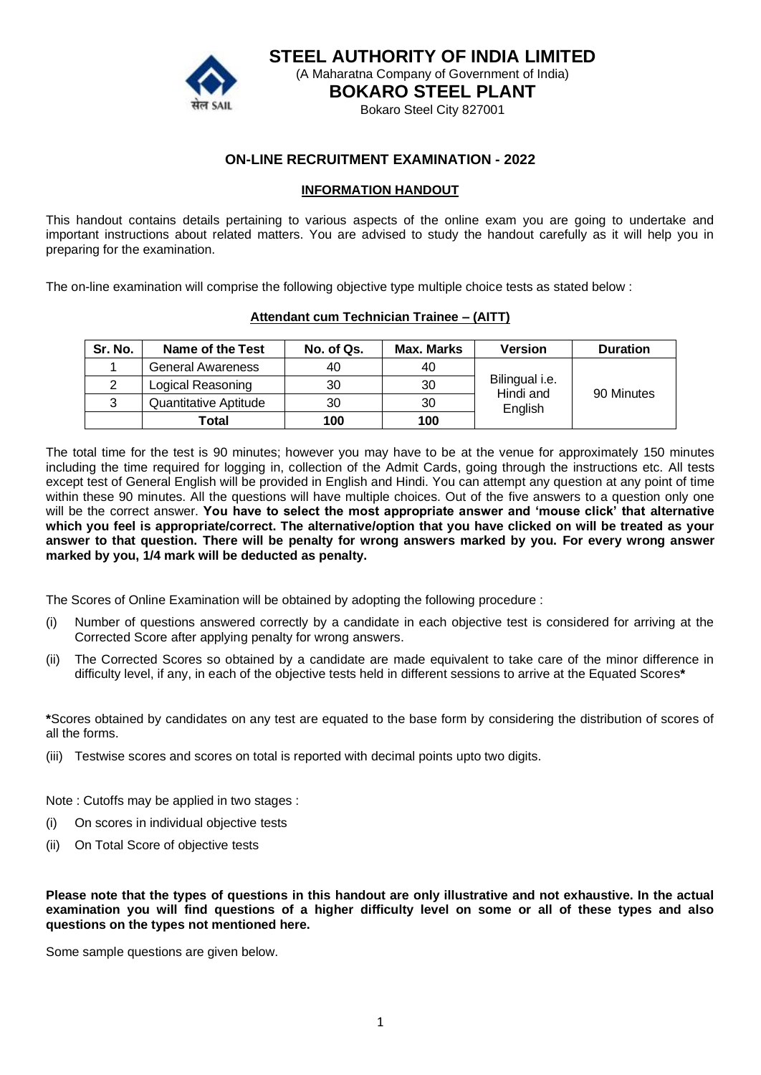

**STEEL AUTHORITY OF INDIA LIMITED** (A Maharatna Company of Government of India)

**BOKARO STEEL PLANT**

Bokaro Steel City 827001

## **ON-LINE RECRUITMENT EXAMINATION - 2022**

### **INFORMATION HANDOUT**

This handout contains details pertaining to various aspects of the online exam you are going to undertake and important instructions about related matters. You are advised to study the handout carefully as it will help you in preparing for the examination.

The on-line examination will comprise the following objective type multiple choice tests as stated below :

### **Attendant cum Technician Trainee – (AITT)**

| Sr. No. | Name of the Test         | No. of Qs. | Max. Marks | <b>Version</b>              | <b>Duration</b> |
|---------|--------------------------|------------|------------|-----------------------------|-----------------|
|         | <b>General Awareness</b> | 40         | 40         |                             |                 |
| 2       | Logical Reasoning        | 30         | 30         | Bilingual i.e.<br>Hindi and | 90 Minutes      |
| 3       | Quantitative Aptitude    | 30         | 30         | English                     |                 |
|         | Total                    | 100        | 100        |                             |                 |

The total time for the test is 90 minutes; however you may have to be at the venue for approximately 150 minutes including the time required for logging in, collection of the Admit Cards, going through the instructions etc. All tests except test of General English will be provided in English and Hindi. You can attempt any question at any point of time within these 90 minutes. All the questions will have multiple choices. Out of the five answers to a question only one will be the correct answer. **You have to select the most appropriate answer and 'mouse click' that alternative which you feel is appropriate/correct. The alternative/option that you have clicked on will be treated as your answer to that question. There will be penalty for wrong answers marked by you. For every wrong answer marked by you, 1/4 mark will be deducted as penalty.**

The Scores of Online Examination will be obtained by adopting the following procedure :

- (i) Number of questions answered correctly by a candidate in each objective test is considered for arriving at the Corrected Score after applying penalty for wrong answers.
- (ii) The Corrected Scores so obtained by a candidate are made equivalent to take care of the minor difference in difficulty level, if any, in each of the objective tests held in different sessions to arrive at the Equated Scores**\***

**\***Scores obtained by candidates on any test are equated to the base form by considering the distribution of scores of all the forms.

(iii) Testwise scores and scores on total is reported with decimal points upto two digits.

Note : Cutoffs may be applied in two stages :

- (i) On scores in individual objective tests
- (ii) On Total Score of objective tests

**Please note that the types of questions in this handout are only illustrative and not exhaustive. In the actual examination you will find questions of a higher difficulty level on some or all of these types and also questions on the types not mentioned here.**

Some sample questions are given below.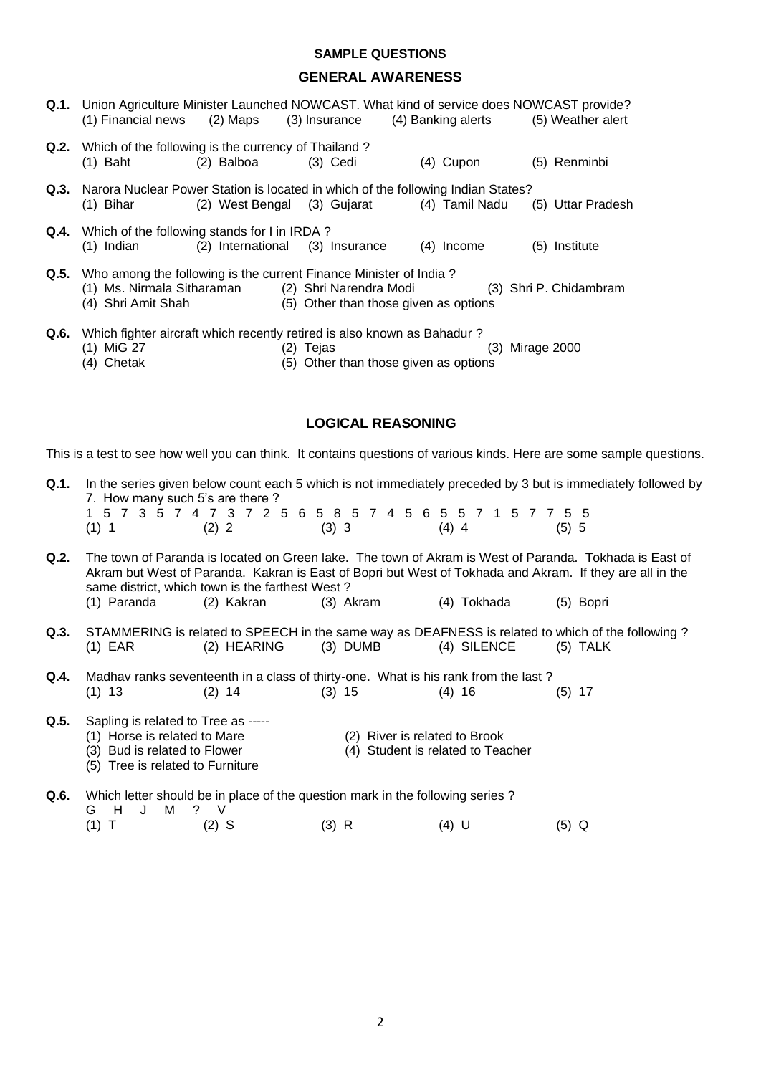### **SAMPLE QUESTIONS**

### **GENERAL AWARENESS**

|      | <b>Q.1.</b> Union Agriculture Minister Launched NOWCAST. What kind of service does NOWCAST provide?<br>(1) Financial news (2) Maps (3) Insurance (4) Banking alerts (5) Weather alert |                                            |                                                    |              |                        |
|------|---------------------------------------------------------------------------------------------------------------------------------------------------------------------------------------|--------------------------------------------|----------------------------------------------------|--------------|------------------------|
|      | <b>Q.2.</b> Which of the following is the currency of Thailand?<br>$(1)$ Baht                                                                                                         | (2) Balboa                                 | $(3)$ Cedi                                         | (4) Cupon    | (5) Renminbi           |
|      | <b>Q.3.</b> Narora Nuclear Power Station is located in which of the following Indian States?<br>(1) Bihar                                                                             | (2) West Bengal (3) Gujarat (4) Tamil Nadu |                                                    |              | (5) Uttar Pradesh      |
|      | <b>Q.4.</b> Which of the following stands for I in IRDA?<br>(1) Indian (2) International (3) Insurance                                                                                |                                            |                                                    | $(4)$ Income | Institute<br>(5)       |
|      | <b>Q.5.</b> Who among the following is the current Finance Minister of India?<br>(1) Ms. Nirmala Sitharaman (2) Shri Narendra Modi<br>(4) Shri Amit Shah                              |                                            | (5) Other than those given as options              |              | (3) Shri P. Chidambram |
| Q.6. | Which fighter aircraft which recently retired is also known as Bahadur?<br>(1) MiG 27<br>(4) Chetak                                                                                   |                                            | (2) Tejas<br>(5) Other than those given as options | (3)          | Mirage 2000            |

### **LOGICAL REASONING**

This is a test to see how well you can think. It contains questions of various kinds. Here are some sample questions.

| <b>Q.1.</b> In the series given below count each 5 which is not immediately preceded by 3 but is immediately followed by |
|--------------------------------------------------------------------------------------------------------------------------|
| 7. How many such 5's are there?                                                                                          |
| 1 5 7 3 5 7 4 7 3 7 2 5 6 5 8 5 7 4 5 6 5 5 7 1 5 7 7 5 5                                                                |

|         |         |         | 1 5 7 3 5 7 4 7 3 7 2 5 6 5 8 5 7 4 5 6 5 5 7 1 5 7 7 5 5 |         |
|---------|---------|---------|-----------------------------------------------------------|---------|
| $(1)$ 1 | $(2)$ 2 | $(3)$ 3 | $(4)$ 4                                                   | $(5)$ 5 |

- **Q.2.** The town of Paranda is located on Green lake. The town of Akram is West of Paranda. Tokhada is East of Akram but West of Paranda. Kakran is East of Bopri but West of Tokhada and Akram. If they are all in the same district, which town is the farthest West ?
	- (1) Paranda (2) Kakran (3) Akram (4) Tokhada (5) Bopri
- **Q.3.** STAMMERING is related to SPEECH in the same way as DEAFNESS is related to which of the following ? (1) EAR (2) HEARING (3) DUMB (4) SILENCE (5) TALK

 $(4)$  Student is related to Teacher

**Q.4.** Madhav ranks seventeenth in a class of thirty-one. What is his rank from the last ? (1) 13 (2) 14 (3) 15 (4) 16 (5) 17

**Q.5.** Sapling is related to Tree as -----

- 
- (1) Horse is related to Mare  $(2)$  River is related to Brook  $(3)$  Bud is related to Flower  $(4)$  Student is related to Tea
- (5) Tree is related to Furniture

**Q.6.** Which letter should be in place of the question mark in the following series ? G H J M ? V<br>(1) T (2) (1) T (2) S (3) R (4) U (5) Q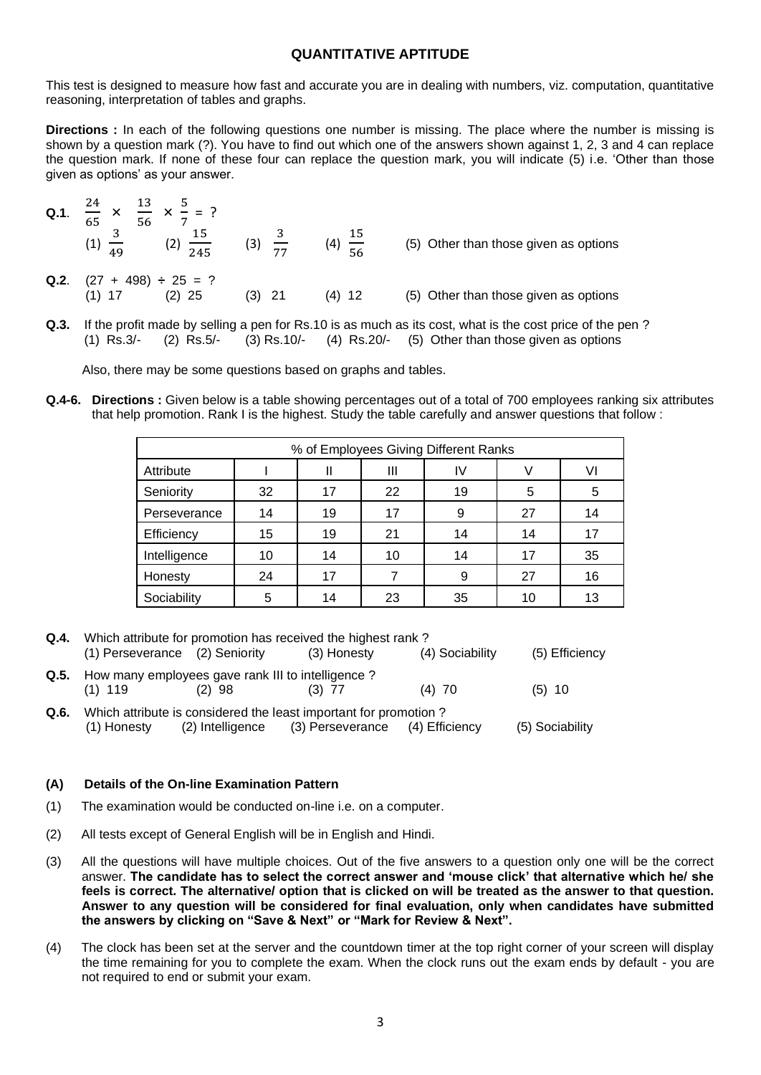### **QUANTITATIVE APTITUDE**

This test is designed to measure how fast and accurate you are in dealing with numbers, viz. computation, quantitative reasoning, interpretation of tables and graphs.

**Directions :** In each of the following questions one number is missing. The place where the number is missing is shown by a question mark (?). You have to find out which one of the answers shown against 1, 2, 3 and 4 can replace the question mark. If none of these four can replace the question mark, you will indicate (5) i.e. 'Other than those given as options' as your answer.

| $Q.1$ . | $\frac{24}{\times} \times \frac{13}{\times} \times \frac{5}{\times} = ?$<br>56<br>65<br>$(2) \frac{1}{245}$ | (3)         | $\frac{15}{56}$<br>(4) | (5) Other than those given as options |
|---------|-------------------------------------------------------------------------------------------------------------|-------------|------------------------|---------------------------------------|
| Q.2.    | $(27 + 498) \div 25 = ?$<br>$(2)$ 25<br>(1) 17                                                              | - 21<br>(3) | (4) 12                 | (5) Other than those given as options |

**Q.3.** If the profit made by selling a pen for Rs.10 is as much as its cost, what is the cost price of the pen ? (1) Rs.3/- (2) Rs.5/- (3) Rs.10/- (4) Rs.20/- (5) Other than those given as options

Also, there may be some questions based on graphs and tables.

**Q.4-6. Directions :** Given below is a table showing percentages out of a total of 700 employees ranking six attributes that help promotion. Rank I is the highest. Study the table carefully and answer questions that follow :

| % of Employees Giving Different Ranks |    |    |    |    |    |    |
|---------------------------------------|----|----|----|----|----|----|
| Attribute                             |    | Ш  | Ш  | IV |    | VI |
| Seniority                             | 32 | 17 | 22 | 19 | 5  | 5  |
| Perseverance                          | 14 | 19 | 17 | 9  | 27 | 14 |
| Efficiency                            | 15 | 19 | 21 | 14 | 14 | 17 |
| Intelligence                          | 10 | 14 | 10 | 14 | 17 | 35 |
| Honesty                               | 24 | 17 |    | 9  | 27 | 16 |
| Sociability                           | 5  | 14 | 23 | 35 | 10 | 13 |

| Q.4. | Which attribute for promotion has received the highest rank?        |          |                                                                                                                      |                 |                 |  |  |
|------|---------------------------------------------------------------------|----------|----------------------------------------------------------------------------------------------------------------------|-----------------|-----------------|--|--|
|      | (1) Perseverance (2) Seniority                                      |          | (3) Honesty                                                                                                          | (4) Sociability | (5) Efficiency  |  |  |
|      | Q.5. How many employees gave rank III to intelligence?<br>$(1)$ 119 | $(2)$ 98 | $(3)$ 77                                                                                                             | $(4)$ 70        | $(5)$ 10        |  |  |
| Q.6. | (1) Honesty                                                         |          | Which attribute is considered the least important for promotion?<br>(2) Intelligence (3) Perseverance (4) Efficiency |                 | (5) Sociability |  |  |

### **(A) Details of the On-line Examination Pattern**

- (1) The examination would be conducted on-line i.e. on a computer.
- (2) All tests except of General English will be in English and Hindi.
- (3) All the questions will have multiple choices. Out of the five answers to a question only one will be the correct answer. **The candidate has to select the correct answer and 'mouse click' that alternative which he/ she feels is correct. The alternative/ option that is clicked on will be treated as the answer to that question. Answer to any question will be considered for final evaluation, only when candidates have submitted the answers by clicking on "Save & Next" or "Mark for Review & Next".**
- (4) The clock has been set at the server and the countdown timer at the top right corner of your screen will display the time remaining for you to complete the exam. When the clock runs out the exam ends by default - you are not required to end or submit your exam.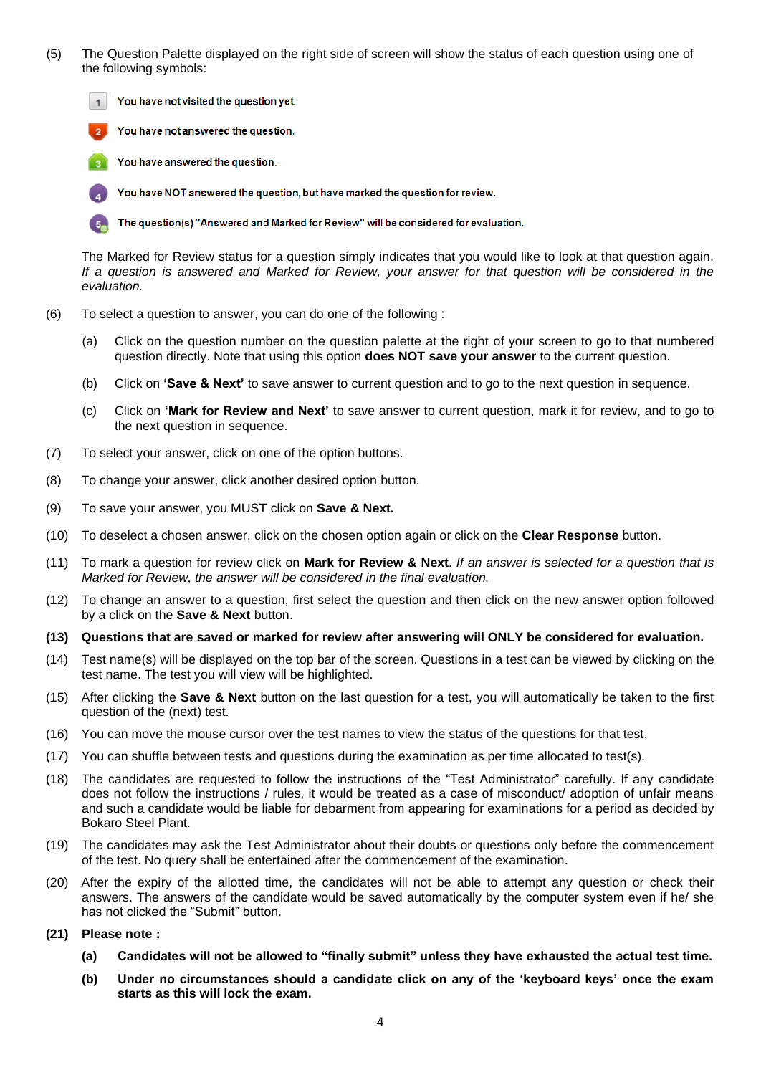(5) The Question Palette displayed on the right side of screen will show the status of each question using one of the following symbols:

You have not visited the question yet.





You have NOT answered the question, but have marked the question for review.

The question(s) "Answered and Marked for Review" will be considered for evaluation.

The Marked for Review status for a question simply indicates that you would like to look at that question again. *If a question is answered and Marked for Review, your answer for that question will be considered in the evaluation.*

- (6) To select a question to answer, you can do one of the following :
	- (a) Click on the question number on the question palette at the right of your screen to go to that numbered question directly. Note that using this option **does NOT save your answer** to the current question.
	- (b) Click on **'Save & Next'** to save answer to current question and to go to the next question in sequence.
	- (c) Click on **'Mark for Review and Next'** to save answer to current question, mark it for review, and to go to the next question in sequence.
- (7) To select your answer, click on one of the option buttons.
- (8) To change your answer, click another desired option button.
- (9) To save your answer, you MUST click on **Save & Next.**
- (10) To deselect a chosen answer, click on the chosen option again or click on the **Clear Response** button.
- (11) To mark a question for review click on **Mark for Review & Next**. *If an answer is selected for a question that is Marked for Review, the answer will be considered in the final evaluation.*
- (12) To change an answer to a question, first select the question and then click on the new answer option followed by a click on the **Save & Next** button.
- **(13) Questions that are saved or marked for review after answering will ONLY be considered for evaluation.**
- (14) Test name(s) will be displayed on the top bar of the screen. Questions in a test can be viewed by clicking on the test name. The test you will view will be highlighted.
- (15) After clicking the **Save & Next** button on the last question for a test, you will automatically be taken to the first question of the (next) test.
- (16) You can move the mouse cursor over the test names to view the status of the questions for that test.
- (17) You can shuffle between tests and questions during the examination as per time allocated to test(s).
- (18) The candidates are requested to follow the instructions of the "Test Administrator" carefully. If any candidate does not follow the instructions / rules, it would be treated as a case of misconduct/ adoption of unfair means and such a candidate would be liable for debarment from appearing for examinations for a period as decided by Bokaro Steel Plant.
- (19) The candidates may ask the Test Administrator about their doubts or questions only before the commencement of the test. No query shall be entertained after the commencement of the examination.
- (20) After the expiry of the allotted time, the candidates will not be able to attempt any question or check their answers. The answers of the candidate would be saved automatically by the computer system even if he/ she has not clicked the "Submit" button.
- **(21) Please note :**
	- **(a) Candidates will not be allowed to "finally submit" unless they have exhausted the actual test time.**
	- **(b) Under no circumstances should a candidate click on any of the 'keyboard keys' once the exam starts as this will lock the exam.**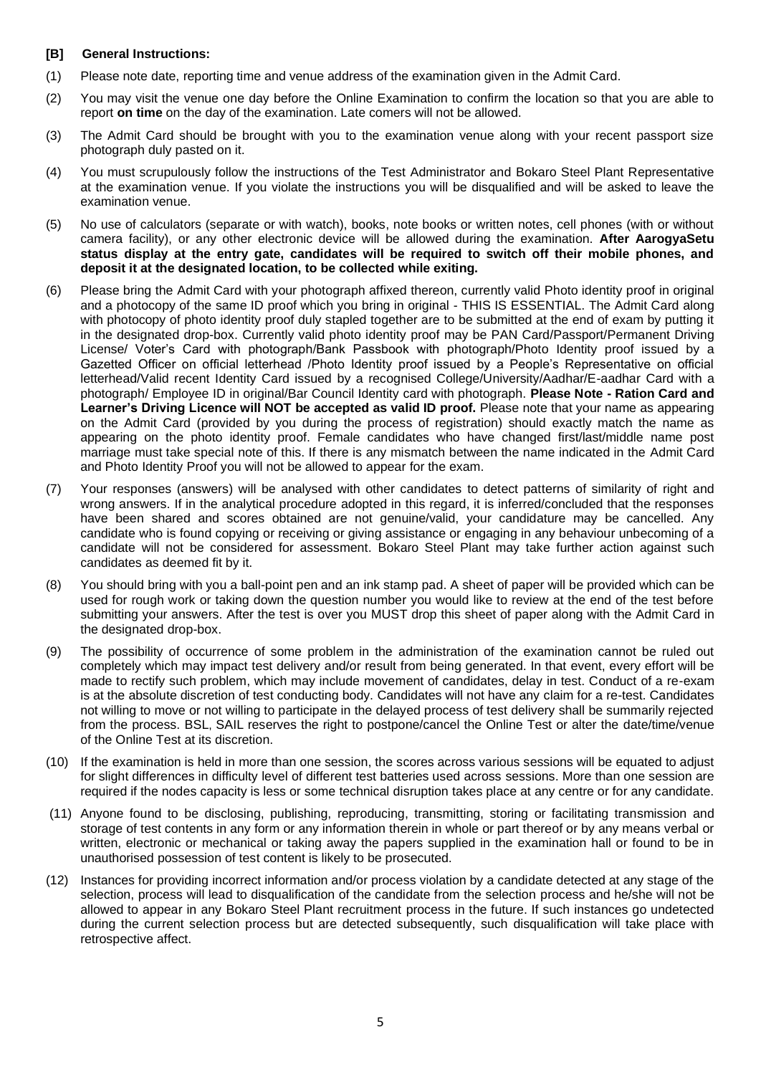### **[B] General Instructions:**

- (1) Please note date, reporting time and venue address of the examination given in the Admit Card.
- (2) You may visit the venue one day before the Online Examination to confirm the location so that you are able to report **on time** on the day of the examination. Late comers will not be allowed.
- (3) The Admit Card should be brought with you to the examination venue along with your recent passport size photograph duly pasted on it.
- (4) You must scrupulously follow the instructions of the Test Administrator and Bokaro Steel Plant Representative at the examination venue. If you violate the instructions you will be disqualified and will be asked to leave the examination venue.
- (5) No use of calculators (separate or with watch), books, note books or written notes, cell phones (with or without camera facility), or any other electronic device will be allowed during the examination. **After AarogyaSetu status display at the entry gate, candidates will be required to switch off their mobile phones, and deposit it at the designated location, to be collected while exiting.**
- (6) Please bring the Admit Card with your photograph affixed thereon, currently valid Photo identity proof in original and a photocopy of the same ID proof which you bring in original - THIS IS ESSENTIAL. The Admit Card along with photocopy of photo identity proof duly stapled together are to be submitted at the end of exam by putting it in the designated drop-box. Currently valid photo identity proof may be PAN Card/Passport/Permanent Driving License/ Voter's Card with photograph/Bank Passbook with photograph/Photo Identity proof issued by a Gazetted Officer on official letterhead /Photo Identity proof issued by a People's Representative on official letterhead/Valid recent Identity Card issued by a recognised College/University/Aadhar/E-aadhar Card with a photograph/ Employee ID in original/Bar Council Identity card with photograph. **Please Note - Ration Card and Learner's Driving Licence will NOT be accepted as valid ID proof.** Please note that your name as appearing on the Admit Card (provided by you during the process of registration) should exactly match the name as appearing on the photo identity proof. Female candidates who have changed first/last/middle name post marriage must take special note of this. If there is any mismatch between the name indicated in the Admit Card and Photo Identity Proof you will not be allowed to appear for the exam.
- (7) Your responses (answers) will be analysed with other candidates to detect patterns of similarity of right and wrong answers. If in the analytical procedure adopted in this regard, it is inferred/concluded that the responses have been shared and scores obtained are not genuine/valid, your candidature may be cancelled. Any candidate who is found copying or receiving or giving assistance or engaging in any behaviour unbecoming of a candidate will not be considered for assessment. Bokaro Steel Plant may take further action against such candidates as deemed fit by it.
- (8) You should bring with you a ball-point pen and an ink stamp pad. A sheet of paper will be provided which can be used for rough work or taking down the question number you would like to review at the end of the test before submitting your answers. After the test is over you MUST drop this sheet of paper along with the Admit Card in the designated drop-box.
- (9) The possibility of occurrence of some problem in the administration of the examination cannot be ruled out completely which may impact test delivery and/or result from being generated. In that event, every effort will be made to rectify such problem, which may include movement of candidates, delay in test. Conduct of a re-exam is at the absolute discretion of test conducting body. Candidates will not have any claim for a re-test. Candidates not willing to move or not willing to participate in the delayed process of test delivery shall be summarily rejected from the process. BSL, SAIL reserves the right to postpone/cancel the Online Test or alter the date/time/venue of the Online Test at its discretion.
- (10) If the examination is held in more than one session, the scores across various sessions will be equated to adjust for slight differences in difficulty level of different test batteries used across sessions. More than one session are required if the nodes capacity is less or some technical disruption takes place at any centre or for any candidate.
- (11) Anyone found to be disclosing, publishing, reproducing, transmitting, storing or facilitating transmission and storage of test contents in any form or any information therein in whole or part thereof or by any means verbal or written, electronic or mechanical or taking away the papers supplied in the examination hall or found to be in unauthorised possession of test content is likely to be prosecuted.
- (12) Instances for providing incorrect information and/or process violation by a candidate detected at any stage of the selection, process will lead to disqualification of the candidate from the selection process and he/she will not be allowed to appear in any Bokaro Steel Plant recruitment process in the future. If such instances go undetected during the current selection process but are detected subsequently, such disqualification will take place with retrospective affect.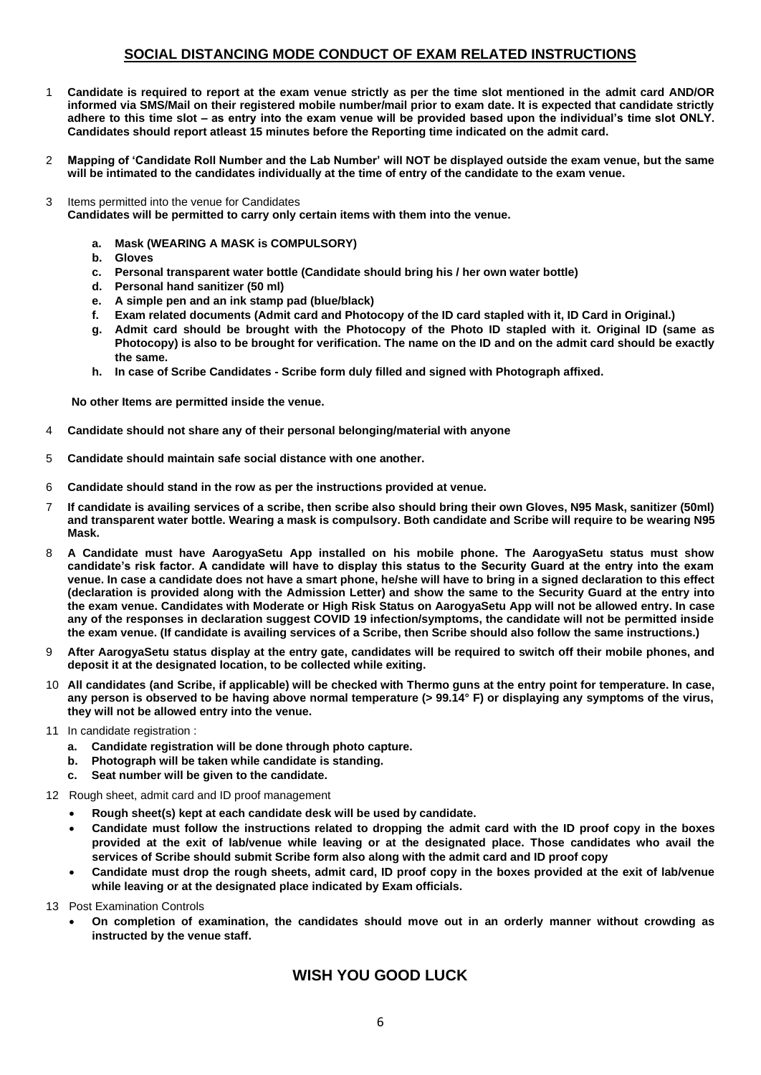### **SOCIAL DISTANCING MODE CONDUCT OF EXAM RELATED INSTRUCTIONS**

- 1 **Candidate is required to report at the exam venue strictly as per the time slot mentioned in the admit card AND/OR informed via SMS/Mail on their registered mobile number/mail prior to exam date. It is expected that candidate strictly adhere to this time slot – as entry into the exam venue will be provided based upon the individual's time slot ONLY. Candidates should report atleast 15 minutes before the Reporting time indicated on the admit card.**
- 2 **Mapping of 'Candidate Roll Number and the Lab Number' will NOT be displayed outside the exam venue, but the same will be intimated to the candidates individually at the time of entry of the candidate to the exam venue.**
- 3 Items permitted into the venue for Candidates

**Candidates will be permitted to carry only certain items with them into the venue.** 

- **a. Mask (WEARING A MASK is COMPULSORY)**
- **b. Gloves**
- **c. Personal transparent water bottle (Candidate should bring his / her own water bottle)**
- **d. Personal hand sanitizer (50 ml)**
- **e. A simple pen and an ink stamp pad (blue/black)**
- **f. Exam related documents (Admit card and Photocopy of the ID card stapled with it, ID Card in Original.)**
- **g. Admit card should be brought with the Photocopy of the Photo ID stapled with it. Original ID (same as Photocopy) is also to be brought for verification. The name on the ID and on the admit card should be exactly the same.**
- **h. In case of Scribe Candidates - Scribe form duly filled and signed with Photograph affixed.**

 **No other Items are permitted inside the venue.**

- 4 **Candidate should not share any of their personal belonging/material with anyone**
- 5 **Candidate should maintain safe social distance with one another.**
- 6 **Candidate should stand in the row as per the instructions provided at venue.**
- 7 **If candidate is availing services of a scribe, then scribe also should bring their own Gloves, N95 Mask, sanitizer (50ml) and transparent water bottle. Wearing a mask is compulsory. Both candidate and Scribe will require to be wearing N95 Mask.**
- 8 **A Candidate must have AarogyaSetu App installed on his mobile phone. The AarogyaSetu status must show candidate's risk factor. A candidate will have to display this status to the Security Guard at the entry into the exam venue. In case a candidate does not have a smart phone, he/she will have to bring in a signed declaration to this effect (declaration is provided along with the Admission Letter) and show the same to the Security Guard at the entry into the exam venue. Candidates with Moderate or High Risk Status on AarogyaSetu App will not be allowed entry. In case any of the responses in declaration suggest COVID 19 infection/symptoms, the candidate will not be permitted inside the exam venue. (If candidate is availing services of a Scribe, then Scribe should also follow the same instructions.)**
- 9 **After AarogyaSetu status display at the entry gate, candidates will be required to switch off their mobile phones, and deposit it at the designated location, to be collected while exiting.**
- 10 **All candidates (and Scribe, if applicable) will be checked with Thermo guns at the entry point for temperature. In case, any person is observed to be having above normal temperature (> 99.14° F) or displaying any symptoms of the virus, they will not be allowed entry into the venue.**
- 11 In candidate registration :
	- **a. Candidate registration will be done through photo capture.**
	- **b. Photograph will be taken while candidate is standing.**
	- **c. Seat number will be given to the candidate.**
- 12 Rough sheet, admit card and ID proof management
	- **Rough sheet(s) kept at each candidate desk will be used by candidate.**
	- **Candidate must follow the instructions related to dropping the admit card with the ID proof copy in the boxes provided at the exit of lab/venue while leaving or at the designated place. Those candidates who avail the services of Scribe should submit Scribe form also along with the admit card and ID proof copy**
	- **Candidate must drop the rough sheets, admit card, ID proof copy in the boxes provided at the exit of lab/venue while leaving or at the designated place indicated by Exam officials.**
- 13 Post Examination Controls
	- **On completion of examination, the candidates should move out in an orderly manner without crowding as instructed by the venue staff.**

## **WISH YOU GOOD LUCK**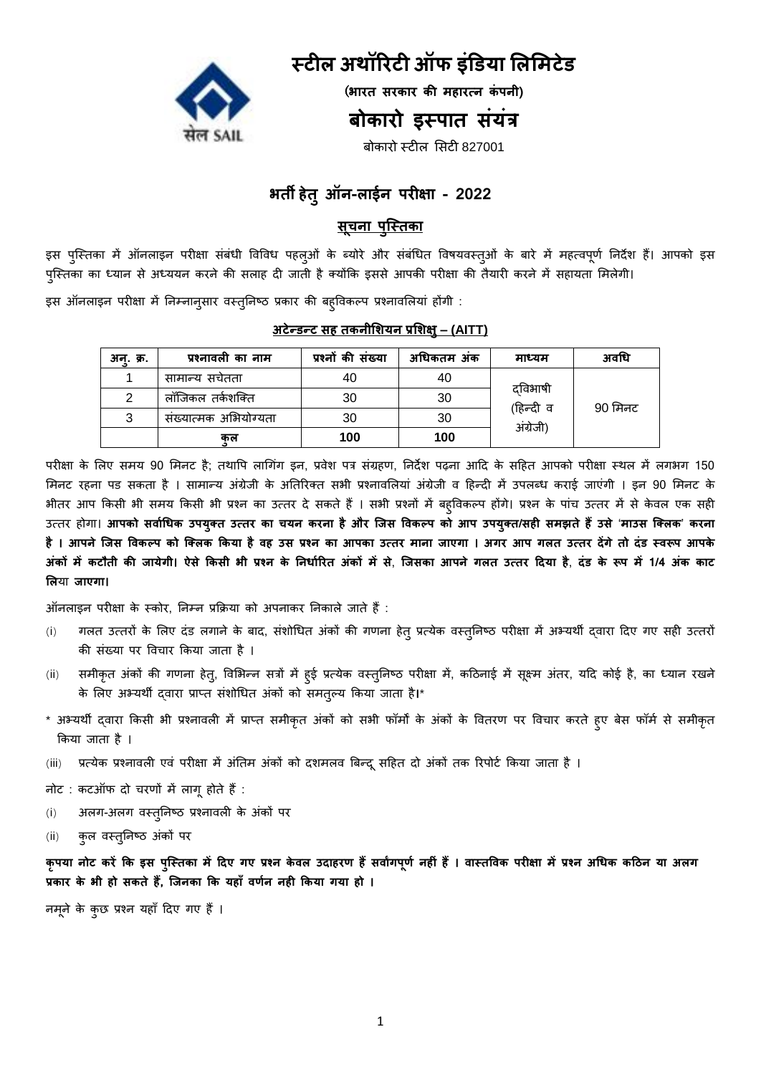

# **स्टील अथॉरिटी ऑफ इंडिया लललिटेि**

(**भाित सिकाि की िहाित्न कं पनी)**

# **बोकािो इस्पात संयंत्र**

बोकारो स्टील सिटी 827001

# **भती - - 2022**

# <u> सूचना पुस्तिका</u>

इस पुस्तिका में ऑनलाइन परीक्षा संबंधी विविध पहलुओं के ब्योरे और संबंधित विषयवस्तुओं के बारे में महत्वपूर्ण निर्देश हैं। आपको इस पुस्तिका का ध्यान से अध्ययन करने की सलाह दी जाती है क्योंकि इससे आपकी परीक्षा की तैयारी करने में सहायता मिलेगी।

इस ऑनलाइन परीक्षा में निम्नान्सार वस्तुनिष्ठ प्रकार की बहविकल्प प्रश्नावलियां होंगी :

### **– (AITT)**

| अन्. क्र. | प्रश्नावली का नाम     | प्रश्नों की संख्या | अधिकतम अंक | माध्यम               | अवधि    |
|-----------|-----------------------|--------------------|------------|----------------------|---------|
|           | सामान्य सर्चतता       | 40                 | 40         |                      |         |
|           | लॉजिकल तर्कशक्ति      | 30                 | 30         | दविभाषी<br>(हिन्दी व |         |
|           | संख्यात्मक अभियोग्यता | 30                 | 30         | अंग्रेजी)            | 90 मिनट |
|           | कुल                   | 100                | 100        |                      |         |

परीक्षा के लिए समय 90 मिनट है; तथापि लागिंग इन, प्रवेश पत्र संग्रहण, निर्देश पढ़ना आदि के सहित आपको परीक्षा स्थल में लगभग 150 मिनट रहना पड सकता है । सामान्य अंग्रेजी के अतिरिक्त सभी प्रश्नावलियां अंग्रेजी व हिन्दी में उपलब्ध कराई जाएंगी । इन 90 मिनट के भीतर आप किसी भी समय किसी भी प्रश्न का उत्तर दे सकते हैं। सभी प्रश्नों में बहविकल्प होंगे। प्रश्न के पांच उत्तर में से केवल एक सही उत्तर होगा। आपको सर्वाधिक उपयुक्त उत्तर का चयन करना है और जिस विकल्प को आप उपयुक्त/सही समझते हैं उसे 'माउस क्लिक' करना  **। उ उ । अगि आप गलत उत्ति देंगे तो दंि स्वरूप आपके अंकों िें कटौती की जायेगी। ऐसे ककसी भी प्रश्न के ननिाारित अंकों िें से**, **क्जसका आपने गलत उत्ति ददया है**, **दंि के रूप िें 1/4 अंक काट लल जाएगा।**

ऑनलाइन परीक्षा के स्कोर, ननम्न प्रक्रिया को अपनाकर ननकाले जाते िैं:

- (i) गलत उत्तरों के लिए दंड लगाने के बाद, संशोधित अंकों की गणना हेत् प्रत्येक वस्तुनिष्ठ परीक्षा में अभ्यर्थी दवारा दिए गए सही उत्तरों की संख्या पर विचार किया जाता है।
- (ii) समीकृत अंकों की गणना हेतु, विभिन्न सत्रों में हुई प्रत्येक वस्तुनिष्ठ परीक्षा में, कठिनाई में सूक्ष्म अंतर, यदि कोई है, का ध्यान रखने के लिए अभ्यर्थी द्**वारा प्राप्त संशोधित अंकों को समत्**ल्य किया जाता है।\*
- \* अभ्यर्थी द्वारा किसी भी प्रश्नावली में प्राप्त समीकृत अंकों को सभी फॉर्मों के अंकों के वितरण पर विचार करते हुए बेस फॉर्म से समीकृत क्रकया जाता िै ।
- (iii) प्रत्येक प्रश्नावली एवं परीक्षा में अंतिम अंकों को दशमलव बिन्दू सहित दो अंकों तक रिपोर्ट किया जाता है ।
- नोट : कटऑफ दो चरणों में लागू होते हैं :
- (i) अलग-अलग वस्तुनिष्ठ प्रश्नावली के अंकों पर
- (ii) कुल वस्तुनिष्ठ अंकों पर

कृपया नोट करें कि इस पुस्तिका में दिए गए प्रश्न केवल उदाहरण हैं सर्वांगपूर्ण नहीं हैं । वास्तविक परीक्षा में प्रश्न अधिक कठिन या अलग प्रकार के भी हो सकते हैं, जिनका कि यहाँ वर्णन नही किया गया हो ।

नमूने के कुछ प्रश्न यहाँ दिए गए हैं ।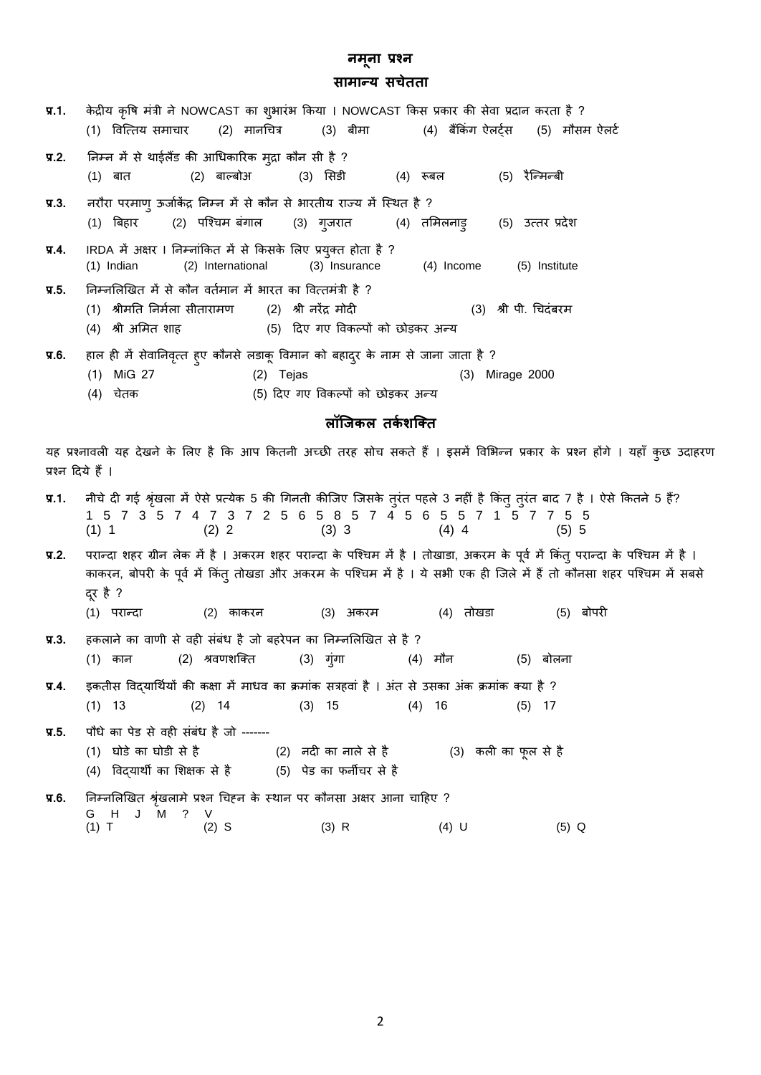# **सािान्य सचेतता**

| प्र.1.            | केद्रीय कृषि मंत्री ने NOWCAST का शुभारंभ किया । NOWCAST किस प्रकार की सेवा प्रदान करता है ?<br>(1) वित्तिय समाचार     (2)  मानचित्र      (3)  बीमा          (4)  बैंकिंग ऐलर्ट्स     (5)  मौसम ऐलर्ट                                                                                                                                      |
|-------------------|--------------------------------------------------------------------------------------------------------------------------------------------------------------------------------------------------------------------------------------------------------------------------------------------------------------------------------------------|
| $\P$ , 2.         | निम्न में से थाईलैंड की आधिकारिक मुद्रा कौन सी है ?<br>(2) बाल्बोअ (3) सिडी   (4) रूबल   (5) रैन्मिन्बी<br>(1) बात                                                                                                                                                                                                                         |
| $\P$ , $3$ .      | नरौरा परमाणु ऊर्जाकेंद्र निम्न में से कौन से भारतीय राज्य में स्थित है ?<br>(2)   पश्चिम बंगाल<br>(3) गुजरात     (4) तमिलनाड़   (5) उत्तर प्रदेश<br>(1) बिहार                                                                                                                                                                              |
| प्र.4.            | IRDA में अक्षर I निम्नांकित में से किसके लिए प्रयुक्त होता है ?<br>(2) International<br>(3) Insurance (4) Income (5) Institute<br>$(1)$ Indian                                                                                                                                                                                             |
| $\P$ , 5.         | निम्नलिखित में से कौन वर्तमान में भारत का वित्तमंत्री है ?<br>(1) श्रीमति निर्मला सीतारामण      (2) श्री नरेंद्र मोदी<br>(3) श्री पी. चिदंबरम<br>(4) श्री अमित शाह<br>(5) दिए गए विकल्पों को छोड़कर अन्य                                                                                                                                   |
| <b>у.6.</b>       | हाल ही में सेवानिवृत्त हुए कौनसे लडाकू विमान को बहादुर के नाम से जाना जाता है ?<br>$(1)$ MiG 27<br>(2) Tejas<br>(3) Mirage 2000<br>(5) दिए गए विकल्पों को छोड़कर अन्य<br>(4) चेतक                                                                                                                                                          |
|                   | लॉजिकल तर्कशक्ति                                                                                                                                                                                                                                                                                                                           |
| प्रश्न दिये हैं । | यह प्रश्नावली यह देखने के लिए है कि आप कितनी अच्छी तरह सोच सकते हैं । इसमें विभिन्न प्रकार के प्रश्न होंगे । यहाँ कुछ उदाहरण                                                                                                                                                                                                               |
| $\P$ , 1.         | नीचे दी गई श्रृंखला में ऐसे प्रत्येक 5 की गिनती कीजिए जिसके तुरंत पहले 3 नहीं है किंतु तुरंत बाद 7 है । ऐसे कितने 5 हैं?<br>1 5 7 3 5 7 4 7 3 7 2 5 6 5 8 5 7 4 5 6 5 5 7 1 5 7 7 5 5<br>(2) 2<br>$(3)$ 3<br>$(4)$ 4<br>$(1)$ 1<br>$(5)$ 5                                                                                                 |
| $\P$ , 2.         | परान्दा शहर ग्रीन लेक में है । अकरम शहर परान्दा के पश्चिम में है । तोखाडा, अकरम के पूर्व में किंतु परान्दा के पश्चिम में है ।<br>काकरन, बोपरी के पूर्व में किंतु तोखडा और अकरम के पश्चिम में है । ये सभी एक ही जिले में हैं तो कौनसा शहर पश्चिम में सबसे<br>दूर है ?<br>(2) काकरन      (3) अकरम     (4) तोखडा     (5) बोपरी<br>(1) परान्दा |
| $\P$ .3.          | हकलाने का वाणी से वही संबंध है जो बहरेपन का निम्नलिखित से है ?<br>(1) कान (2) श्रवणशक्ति (3) गुंगा (4) मौन (5) बोलना                                                                                                                                                                                                                       |
| प्र.4.            | इकतीस विद्यार्थियों की कक्षा में माधव का क्रमांक सत्रहवां है । अंत से उसका अंक क्रमांक क्या है ?<br>$(3)$ 15<br>$(1)$ 13<br>$(2)$ 14<br>$(4)$ 16<br>$(5)$ 17                                                                                                                                                                               |
| प्र.5.            | पौधे का पेड से वही संबंध है जो -------<br>(1) घोड़े का घोड़ी से है<br>(2) नदी का नाले से है               (3)  कली का फूल से है<br>(4) विद्यार्थी का शिक्षक से है<br>(5)  पेड का फर्नीचर से है                                                                                                                                             |
| प्र.6.            | निम्नलिखित श्रृंखलामे प्रश्न चिहन के स्थान पर कौनसा अक्षर आना चाहिए ?<br>G H J M ? V<br>$(1)$ T<br>$(2)$ S<br>$(3)$ R<br>$(4)$ U<br>$(5)$ Q                                                                                                                                                                                                |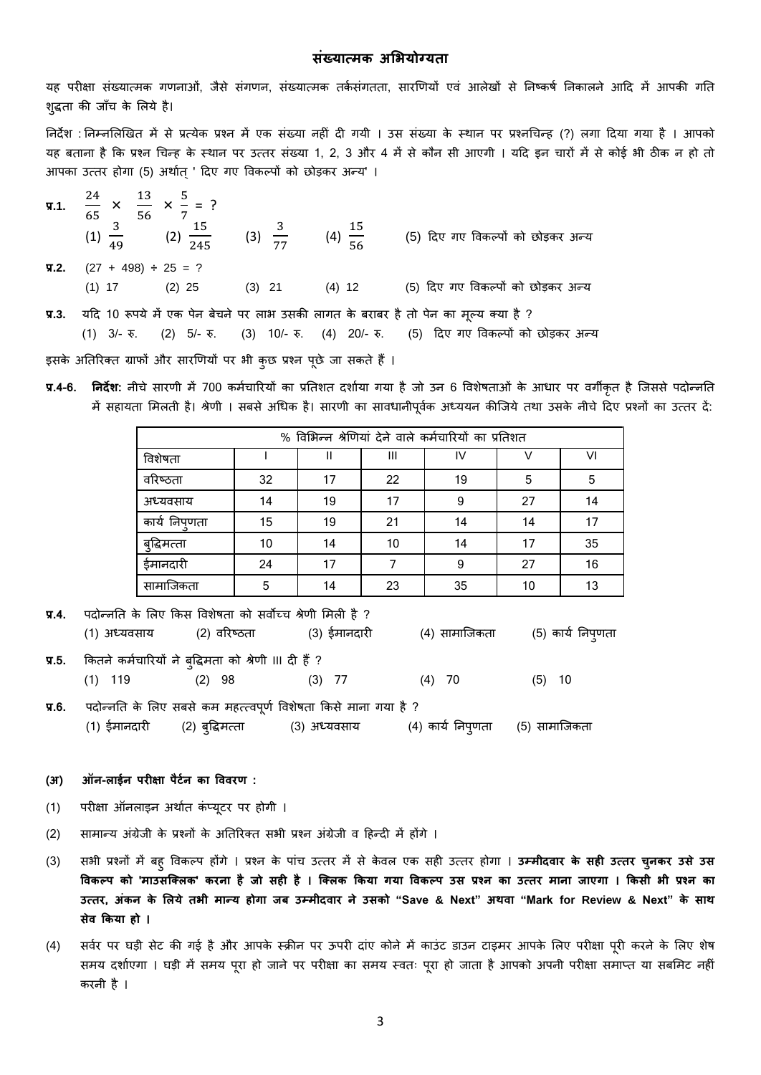### **संख्यात्िक अलभयोग्यता**

यह परीक्षा संख्यात्मक गणनाओं, जैसे संगणन, संख्यात्मक तर्कसंगतता, सारणियों एवं आलेखों से निष्कर्ष निकालने आदि में आपकी गति शुद्धता की जाँच के लिये है।

निर्देश : निम्नलिखित में से प्रत्येक प्रश्न में एक संख्या नहीं दी गयी । उस संख्या के स्थान पर प्रश्नचिन्ह (?) लगा दिया गया है । आपको यह बताना है कि प्रश्न चिन्ह के स्थान पर उत्तर संख्या 1, 2, 3 और 4 में से कौन सी आएगी । यदि इन चारों में से कोई भी ठीक न हो तो आपका उत्तर होगा (5) अर्थात् ' दिए गए विकल्पों को छोड़कर अन्य' ।

| <b>9.1.</b> $\frac{24}{65} \times \frac{13}{56} \times \frac{5}{7} = ?$                            |  | (1) $\frac{3}{49}$ (2) $\frac{15}{245}$ (3) $\frac{3}{77}$ (4) $\frac{15}{56}$ (5) दिए गए विकल्पों को छोड़कर अन्य |
|----------------------------------------------------------------------------------------------------|--|-------------------------------------------------------------------------------------------------------------------|
| $\sqrt{9}$ , 2. (27 + 498) ÷ 25 = ?                                                                |  |                                                                                                                   |
|                                                                                                    |  | (1) 17 (2) 25 (3) 21 (4) 12 (5) दिए गए विकल्पों को छोड़कर अन्य                                                    |
| <b>प्र.3.</b> यदि 10 रूपये में एक पेन बेचने पर लाभ उसकी लागत के बराबर है तो पेन का मूल्य क्या है ? |  |                                                                                                                   |
|                                                                                                    |  | (1) 3/- रु. (2) 5/- रु. (3) 10/- रु. (4) 20/- रु. (5) दिए गए विकल्पों को छोड़कर अन्य                              |

इसके अतिरिक्त ग्राफों और सारणियों पर भी कुछ प्रश्न पूछे जा सकते हैं।

**प्र.4-6. <b>निर्देश:** नीचे सारणी में 700 कर्मचारियों का प्रतिशत दर्शाया गया है जो उन 6 विशेषताओं के आधार पर वर्गीकृत है जिससे पदोन्नति में सहायता मिलती है। श्रेणी । सबसे अधिक है। सारणी का सावधानीपूर्वक अध्ययन कीजिये तथा उसके नीचे दिए प्रश्नों का उत्तर दें:

| % विभिन्न श्रेणियां देने वाले कर्मचारियों का प्रतिशत |    |    |    |    |    |    |
|------------------------------------------------------|----|----|----|----|----|----|
| विशेषता                                              |    |    | Ш  | IV |    | VI |
| वरिष्ठता                                             | 32 | 17 | 22 | 19 | 5  | 5  |
| अध्यवसाय                                             | 14 | 19 | 17 | 9  | 27 | 14 |
| कार्य निपुणता                                        | 15 | 19 | 21 | 14 | 14 | 17 |
| बुद्धिमत्ता                                          | 10 | 14 | 10 | 14 | 17 | 35 |
| ईमानदारी                                             | 24 | 17 |    | 9  | 27 | 16 |
| सामाजिकता                                            | 5  | 14 | 23 | 35 | 10 | 13 |

| पदोन्नति के लिए किस विशेषता को सर्वोच्च श्रेणी मिली है ?<br>$\P(4)$ |                                       |                                                       |                                                                                       |          |                                 |  |
|---------------------------------------------------------------------|---------------------------------------|-------------------------------------------------------|---------------------------------------------------------------------------------------|----------|---------------------------------|--|
|                                                                     | (1) अध्यवसाय             (2) वरिष्ठता |                                                       | (3) ईमानदारी                                                                          |          | (4) सामाजिकता (5) कार्य निपुणता |  |
| $\Pi$ .5.                                                           |                                       | कितने कर्मचारियों ने बुद्धिमता को श्रेणी III दी हैं ? |                                                                                       |          |                                 |  |
|                                                                     | $(1)$ 119                             | $(2)$ 98                                              | $(3)$ 77                                                                              | $(4)$ 70 | $(5)$ 10                        |  |
| <b>у.6.</b>                                                         |                                       |                                                       | पदोन्नति के लिए सबसे कम महत्त्वपूर्ण विशेषता किसे माना गया है ?                       |          |                                 |  |
|                                                                     |                                       |                                                       | (1) ईमानदारी      (2) बुद्धिमत्ता           (3) अध्यवसाय            (4) कार्य निप्णता |          | (5) सामाजिकता                   |  |

- **( ) - :**
- (1) परीक्षा ऑनलाइन अर्थात कंप्यूटर पर होगी ।
- (2) सामान्य अंग्रेजी के प्रश्नों के अतिरिक्त सभी प्रश्न अंग्रेजी व हिन्दी में होंगे ।
- (3) िभी प्रश्नों में बिु विकल्प िोंगे । प्रश्न के पांच उत्तर में िे के िल एक ििी उत्तर िोगा । **उम्िीदवाि के सही उत्ति चुनकि उसे उस** विकल्प को 'माउसक्लिक' करना है जो सही है । क्लिक किया गया विकल्प उस प्रश्न का उत्तर माना जाएगा । किसी भी प्रश्न का उत्तर, अंकन के लिये तभी मान्य होगा जब उम्मीदवार ने उसको "Save & Next" अथवा "Mark for Review & Next" के साथ **सेव ककया हो ।**
- (4) सर्वर पर घड़ी सेट की गई है और आपके स्क्रीन पर ऊपरी दांए कोने में काउंट डाउन टाइमर आपके लिए परीक्षा पूरी करने के लिए शेष समय दर्शाएगा । घड़ी में समय पूरा हो जाने पर परीक्षा का समय स्वतः पूरा हो जाता है आपको अपनी परीक्षा समाप्त या सबमिट नहीं करनी है ।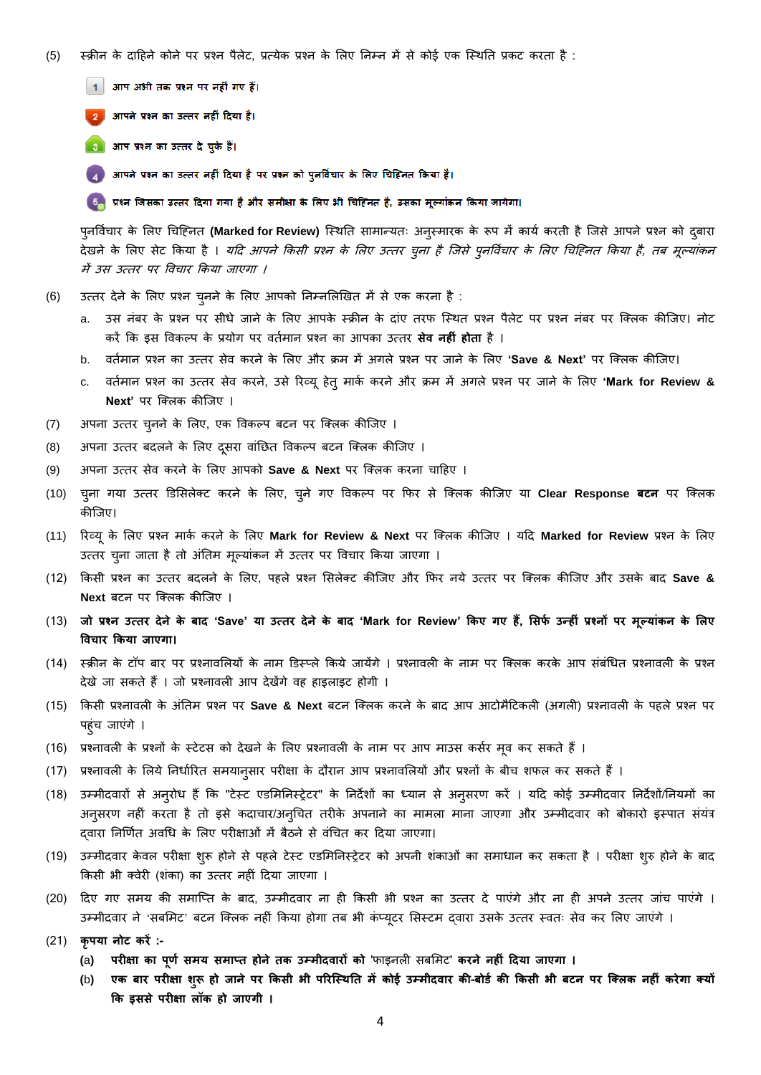- (5) स्क्रीन के दाहिने कोने पर प्रश्न पैलेट, प्रत्येक प्रश्न के लिए निम्न में से कोई एक स्थिति प्रकट करता है :
	- 1 आप अभी तक प्रश्न पर नहीं गए हैं।

2 आपने प्रश्न का उत्तर नहीं दिया है।

3 आप प्रश्न का उत्तर दे चुके हैं।

4 आपने प्रश्न का उत्तर नहीं दिया है पर प्रश्न को पुनर्विचार के लिए चिहिनत किया है।

<mark>5.</mark> प्रश्न जिसका उत्तर दिया गया है और समीक्षा के लिए भी चिहिनत है, उसका मूल्यांकन किया जायेगा।

पुनर्विचार के लिए चिहिनत **(Marked for Review)** स्थिति सामान्यतः अनुस्मारक के रूप में कार्य करती है जिसे आपने प्रश्न को दुबारा देखने के लिए सेट किया है । *यदि आपने किसी प्रश्न के लिए उत्तर चुना है जिसे पुनर्विचार के लिए चिहिनत किया है, तब मूल्यांकन* में उस उत्तर पर विचार किया जाएगा ।

- (6) उत्तर देने के लिए प्रश्न चुनने के लिए आपको निम्नलिखित में से एक करना है :
	- a. उस नंबर के प्रश्न पर सीधे जाने के लिए आपके स्क्रीन के दांए तरफ स्थित प्रश्न पैलेट पर प्रश्न नंबर पर क्लिक कीजिए। नोट करें क्रक इि विकल्प के प्रयोग पर ितकमान प्रश्न का आपका उत्तर **सेव नहीं होता** िै ।
	- b. ितकमान प्रश्न का उत्तर िेि करने के सलए और िम में अगले प्रश्न पर जाने के सलए **'Save & Next'** पर जतलक कीजजए।
	- c. ितकमान प्रश्न का उत्तर िेि करने, उिे ररव्यूिेतुमाकक करने और िम में अगले प्रश्न पर जाने के सलए **'Mark for Review & Next'** पर क्लिक कीजिए ।
- (7) अपना उत्तर चुनने के लिए, एक विकल्प बटन पर क्लिक कीजिए ।
- (8) अपना उत्तर बदलने के लिए दूसरा वांछित विकल्प बटन क्लिक कीजिए ।
- (9) अपना उत्तर िेि करने के सलए आपको **Save & Next** पर जतलक करना चाहिए ।
- (10) चुना गया उत्तर डडसिलेतट करने के सलए, चुने गए विकल्प पर क्रफर िे जतलक कीजजए या **Clear Response बटन** पर जतलक कीजजए।
- (11) ररव्यूके सलए प्रश्न माकक करने के सलए **Mark for Review & Next** पर जतलक कीजजए । यहद **Marked for Review** प्रश्न के सलए उत्तर चुना जाता है तो अंतिम मूल्यांकन में उत्तर पर विचार किया जाएगा ।
- (12) क्रकिी प्रश्न का उत्तर बदलने के सलए, पिले प्रश्न सिलेतट कीजजए और क्रफर नये उत्तर पर जतलक कीजजए और उिके बाद **Save & Next** बटन पर क्लिक कीजिए ।
- (13) जो प्रश्न उत्तर देने के बाद 'Save' या उत्तर देने के बाद 'Mark for Review' किए गए हैं, सिर्फ उन्हीं प्रश्नों पर मूल्यांकन के लिए **ववचाि ककया जाएगा।**
- (14) स्क्रीन के टॉप बार पर प्रश्नावलियों के नाम डिस्प्ले किये जायेंगे । प्रश्नावली के नाम पर क्लिक करके आप संबंधित प्रश्नावली के प्रश्न देखे जा सकते हैं । जो प्रश्नावली आप देखेंगे वह हाइलाइट होगी ।
- (15) किसी प्रश्नावली के अंतिम प्रश्न पर Save & Next बटन क्लिक करने के बाद आप आटोमैटिकली (अगली) प्रश्नावली के पहले प्रश्न पर पहुंच जाएंगे ।
- (16) प्रश्नावली के प्रश्नों के स्टेटस को देखने के लिए प्रश्नावली के नाम पर आप माउस कर्सर मृव कर सकते हैं ।
- (17) प्रश्नावली के लिये निर्धारित समयान्सार परीक्षा के दौरान आप प्रश्नावलियों और प्रश्नों के बीच शफल कर सकते हैं ।
- (18) उम्मीदवारों से अन्**रोध हैं कि "टेस्ट एडमिनिस्ट्रेटर" के नि**र्देशों का ध्यान से अनुसरण करें । यदि कोई उम्मीदवार निर्देशों/नियमों का अनुसरण नहीं करता है तो इसे कदाचार/अनुचित तरीके अपनाने का मामला माना जाएगा और उम्मीदवार को बोकारो इस्पात संयंत्र दवारा निर्णित अवधि के लिए परीक्षाओं में बैठने से वंचित कर दिया जाएगा।
- (19) उम्मीदवार केवल परीक्षा शुरू होने से पहले टेस्ट एडमिनिस्ट्रेटर को अपनी शंकाओं का समाधान कर सकता है । परीक्षा शुरु होने के बाद क्रकिी भी तिेरी (शंका) का उत्तर निीं हदया जाएगा ।
- (20) दिए गए समय की समाप्ति के बाद, उम्मीदवार ना ही किसी भी प्रश्न का उत्तर दे पाएंगे और ना ही अपने उत्तर जांच पाएंगे । उम्मीदवार ने 'सबमिट' बटन क्लिक नहीं किया होगा तब भी कंप्यूटर सिस्टम दवारा उसके उत्तर स्वतः सेव कर लिए जाएंगे ।
- (21) **कृपया नोट किें :-**
	- **(**a**) पिीक्षा का पूर्ा सिय सिाप्त होनेतक उम्िीदवािों को** 'फाइनली िबसमट' **किने नहीं ददया जाएगा ।**
	- (b) एक बार परीक्षा शुरू हो जाने पर किसी भी परिस्थिति में कोई उम्मीदवार की-बोर्ड की किसी भी बटन पर क्लिक नहीं करेगा क्यों **कक इससे पिीक्षा लॉक हो जाएगी ।**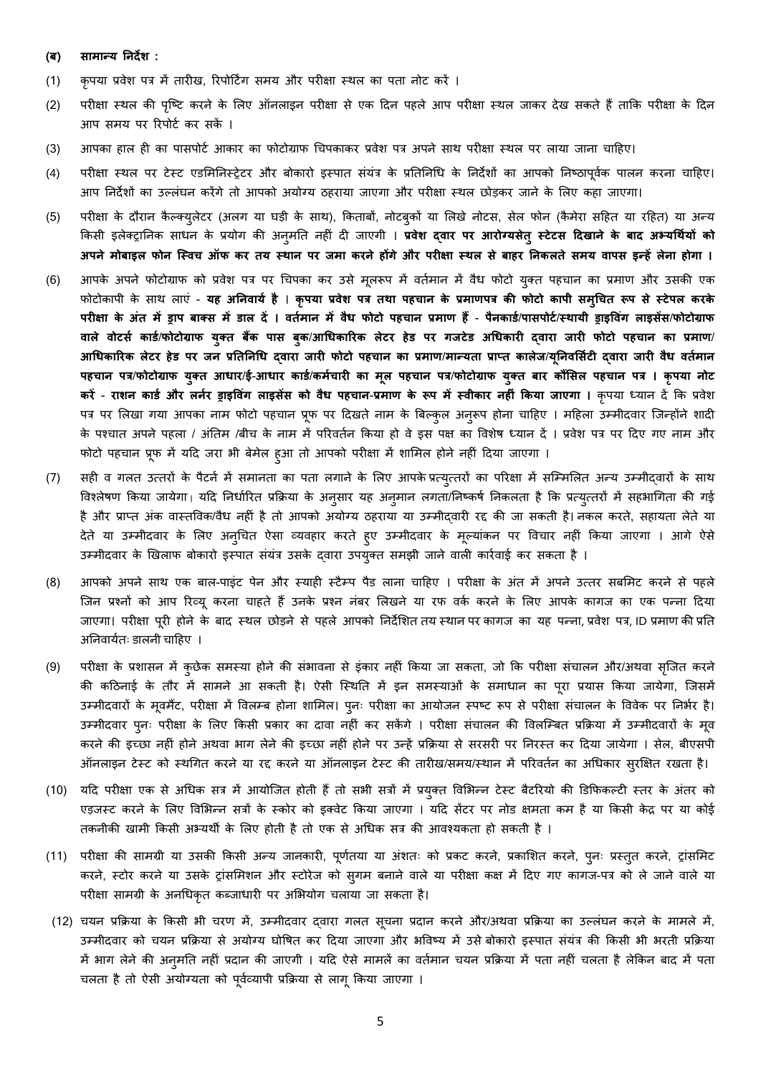#### **(ब) :**

- (1) कपया प्रवेश पत्र में तारीख, रिपोर्टिंग समय और परीक्षा स्थल का पता नोट करें ।
- (2) परीक्षा स्थल की पृष्टि करने के लिए ऑनलाइन परीक्षा से एक दिन पहले आप परीक्षा स्थल जाकर देख सकते हैं ताकि परीक्षा के दिन आप समय पर रिपोर्ट कर सकें ।
- (3) आपका हाल ही का पासपोर्ट आकार का फोटोग्राफ चिपकाकर प्रवेश पत्र अपने साथ परीक्षा स्थल पर लाया जाना चाहिए।
- (4) परीक्षा स्थल पर टेस्ट एडमिनिस्ट्रेटर और बोकारो इस्पात संयंत्र के प्रतिनिधि के निर्देशों का आपको निष्ठापूर्वक पालन करना चाहिए। आप निर्देशों का उल्लंघन करेंगे तो आपको अयोग्य ठहराया जाएगा और परीक्षा स्थल छोड़कर जाने के लिए कहा जाएगा।
- (5) परीक्षा के दौरान कैल्क्यलेटर (अलग या घड़ी के साथ), किताबों, नोटबकों या लिखे नोटस, सेल फोन (कैमेरा सहित या रहित) या अन्य किसी इलेक्ट्रानिक साधन के प्रयोग की अन्**मति नहीं दी जाएगी । प्रवेश द्<b>वार पर आरोग्यसेत्** स्टेटस दिखाने के बाद अभ्यर्थियों को अपने मोबाइल फोन स्विच ऑफ कर तय स्थान पर जमा करने होंगे और परीक्षा स्थल से बाहर निकलते समय वापस इन्हें लेना होगा ।
- (6) आपके अपने फोटोग्राफ को प्रवेश पत्र पर चिपका कर उसे मूलरूप में वर्तमान में वैध फोटो युक्त पहचान का प्रमाण और उसकी एक फोटोकापी के साथ लाएं - यह अनिवार्य है । कृपया प्रवेश पत्र तथा पहचान के प्रमाणपत्र की फोटो कापी समुचित रूप से स्टेपल करके  **ब । वतािान िें वैि फोटो पहचान प्रिार् हैं** - **पैनकािा**/**पासपोटा**/**स्थायी ड्राइववंग लाइसेंस**/**फोटोग्राफ**  वाले वोटर्स कार्ड/फोटोग्राफ युक्त बैंक पास बुक/आधिकारिक लेटर हेड पर गजटेड अधिकारी दवारा जारी फोटो पहचान का प्रमाण/ आधिकारिक लेटर हेड पर जन प्रतिनिधि दवारा जारी फोटो पहचान का प्रमाण/मान्यता प्राप्त कालेज/युनिवर्सिटी दवारा जारी वैध वर्तमान पहचान पत्र/फोटोग्राफ युक्त आधार/ई-आधार कार्ड/कर्मचारी का मूल पहचान पत्र/फोटोग्राफ युक्त बार कौंसिल पहचान पत्र । कृपया नोट करें - राशन कार्ड और लर्नर ड्राइविंग लाइसेंस को वैध पहचान-प्रमाण के रूप में स्वीकार नहीं किया जाएगा । कृपया ध्यान दें कि प्रवेश पत्र पर लिखा गया आपका नाम फोटो पहचान प्रूफ पर दिखते नाम के बिल्कुल अनुरूप होना चाहिए । महिला उम्मीदवार जिन्होंने शादी के पश्चात अपने पहला / अंतिम /बीच के नाम में परिवर्तन किया हो वे इस पक्ष का विशेष ध्यान दें । प्रवेश पत्र पर दिए गए नाम और फोटो पहचान प्रूफ में यदि जरा भी बेमेल हुआ तो आपको परीक्षा में शामिल होने नहीं दिया जाएगा ।
- (7) सही व गलत उत्तरों के पैटर्न में समानता का पता लगाने के लिए आपके प्रत्युत्तरों का परिक्षा में सम्मिलित अन्य उम्मीद्वारों के साथ विश्लेषण किया जायेगा। यदि निर्धारित प्रक्रिया के अनुसार यह अनुमान लगता/निष्कर्ष निकलता है कि प्रत्युत्तरों में सहभागिता की गई है और प्राप्त अंक वास्तविक/वैध नहीं है तो आपको अयोग्य ठहराया या उम्मीद्वारी रद्द की जा सकती है। नकल करते, सहायता लेते या देते या उम्मीदवार के लिए अनुचित ऐसा व्यवहार करते हुए उम्मीदवार के मूल्यांकन पर विचार नहीं किया जाएगा । आगे ऐसे उम्मीदवार के खिलाफ बोकारो इस्पात संयंत्र उसके दवारा उपयुक्त समझी जाने वाली कार्रवाई कर सकता है ।
- (8) आपको अपने साथ एक बाल-पाइंट पेन और स्याही स्टैम्प पैड लाना चाहिए । परीक्षा के अंत में अपने उत्तर सबमिट करने से पहले जिन प्रश्नों को आप रिव्यू करना चाहते हैं उनके प्रश्न नंबर लिखने या रफ वर्क करने के लिए आपके कागज का एक पन्ना दिया जाएगा। परीक्षा पूरी होने के बाद स्थल छोड़ने से पहले आपको निर्देशित तय स्थान पर कागज का यह पन्ना, प्रवेश पत्र, ID प्रमाण की प्रति अनिवार्यतः डालनी चाहिए ।
- (9) परीक्षा के प्रशासन में कुछेक समस्या होने की संभावना से इंकार नहीं किया जा सकता, जो कि परीक्षा संचालन और/अथवा सृजित करने की कठिनाई के तौर में सामने आ सकती है। ऐसी स्थिति में इन समस्याओं के समाधान का पूरा प्रयास किया जायेगा, जिसमें उम्मीदवारों के मृवमैंट, परीक्षा में विलम्ब होना शामिल। पूनः परीक्षा का आयोजन स्पष्ट रूप से परीक्षा संचालन के विवेक पर निर्भर है। उम्मीदवार पूनः परीक्षा के लिए किसी प्रकार का दावा नहीं कर सकेंगे । परीक्षा संचालन की विलम्बित प्रक्रिया में उम्मीदवारों के मूव करने की इच्छा नहीं होने अथवा भाग लेने की इच्छा नहीं होने पर उन्हें प्रक्रिया से सरसरी पर निरस्त कर दिया जायेगा । सेल, बीएसपी ऑनलाइन टेस्ट को स्थगित करने या रद्द करने या ऑनलाइन टेस्ट की तारीख/समय/स्थान में परिवर्तन का अधिकार सुरक्षित रखता है।
- (10) यदि परीक्षा एक से अधिक सत्र में आयोजित होती हैं तो सभी सत्रों में प्रयुक्त विभिन्न टेस्ट बैटरियो की डिफिकल्टी स्तर के अंतर को एड़जस्ट करने के लिए विभिन्न सत्रों के स्कोर को इक्वेट किया जाएगा । यदि सेंटर पर नोड क्षमता कम है या किसी केद्र पर या कोई तकनीकी खामी किसी अभ्यर्थी के लिए होती है तो एक से अधिक सत्र की आवश्यकता हो सकती है ।
- (11) परीक्षा की सामग्री या उसकी किसी अन्य जानकारी, पूर्णतया या अंशतः को प्रकट करने, प्रकाशित करने, पूनः प्रस्तुत करने, ट्रांसमिट करने, स्टोर करने या उसके ट्रांसमिशन और स्टोरेज को सुगम बनाने वाले या परीक्षा कक्ष में दिए गए कागज-पत्र को ले जाने वाले या परीक्षा सामग्री के अनधिकृत कब्जाधारी पर अभियोग चलाया जा सकता है।
- (12) चयन प्रक्रिया के किसी भी चरण में, उम्मीदवार दवारा गलत सूचना प्रदान करने और/अथवा प्रक्रिया का उल्लंघन करने के मामले में, उम्मीदवार को चयन प्रक्रिया से अयोग्य घोषित कर दिया जाएगा और भविष्य में उसे बोकारो इस्पात संयंत्र की किसी भी भरती प्रक्रिया में भाग लेने की अन्मति नहीं प्रदान की जाएगी । यदि ऐसे मामलें का वर्तमान चयन प्रक्रिया में पता नहीं चलता है लेकिन बाद में पता चलता है तो ऐसी अयोग्यता को पूर्वव्यापी प्रक्रिया से लागू किया जाएगा ।